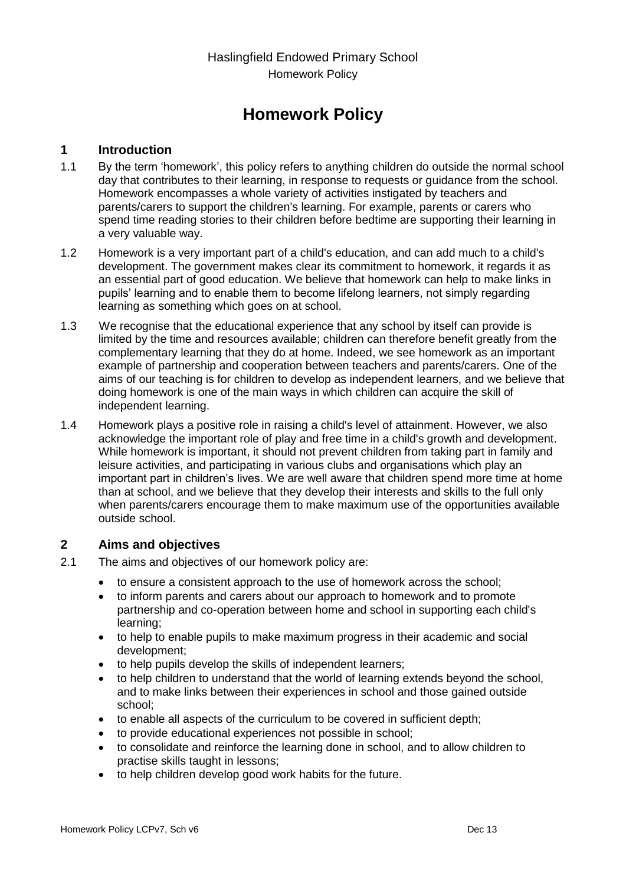Haslingfield Endowed Primary School Homework Policy

# **Homework Policy**

#### **1 Introduction**

- 1.1 By the term 'homework', this policy refers to anything children do outside the normal school day that contributes to their learning, in response to requests or guidance from the school. Homework encompasses a whole variety of activities instigated by teachers and parents/carers to support the children's learning. For example, parents or carers who spend time reading stories to their children before bedtime are supporting their learning in a very valuable way.
- 1.2 Homework is a very important part of a child's education, and can add much to a child's development. The government makes clear its commitment to homework, it regards it as an essential part of good education. We believe that homework can help to make links in pupils' learning and to enable them to become lifelong learners, not simply regarding learning as something which goes on at school.
- 1.3 We recognise that the educational experience that any school by itself can provide is limited by the time and resources available; children can therefore benefit greatly from the complementary learning that they do at home. Indeed, we see homework as an important example of partnership and cooperation between teachers and parents/carers. One of the aims of our teaching is for children to develop as independent learners, and we believe that doing homework is one of the main ways in which children can acquire the skill of independent learning.
- 1.4 Homework plays a positive role in raising a child's level of attainment. However, we also acknowledge the important role of play and free time in a child's growth and development. While homework is important, it should not prevent children from taking part in family and leisure activities, and participating in various clubs and organisations which play an important part in children's lives. We are well aware that children spend more time at home than at school, and we believe that they develop their interests and skills to the full only when parents/carers encourage them to make maximum use of the opportunities available outside school.

#### **2 Aims and objectives**

- 2.1 The aims and objectives of our homework policy are:
	- to ensure a consistent approach to the use of homework across the school;
	- to inform parents and carers about our approach to homework and to promote partnership and co-operation between home and school in supporting each child's learning;
	- to help to enable pupils to make maximum progress in their academic and social development;
	- to help pupils develop the skills of independent learners;
	- to help children to understand that the world of learning extends beyond the school, and to make links between their experiences in school and those gained outside school;
	- to enable all aspects of the curriculum to be covered in sufficient depth;
	- to provide educational experiences not possible in school;
	- to consolidate and reinforce the learning done in school, and to allow children to practise skills taught in lessons;
	- to help children develop good work habits for the future.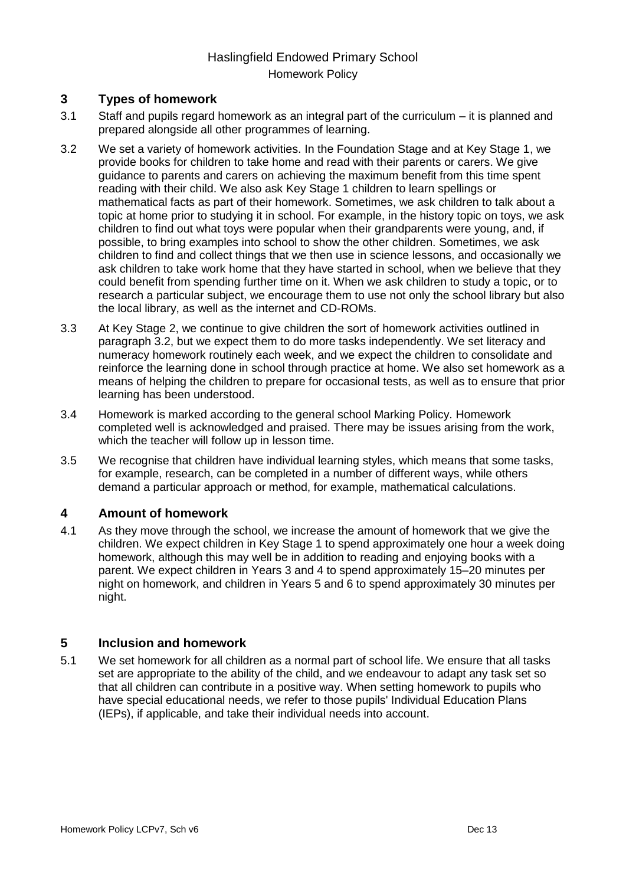# Haslingfield Endowed Primary School Homework Policy

### **3 Types of homework**

- 3.1 Staff and pupils regard homework as an integral part of the curriculum it is planned and prepared alongside all other programmes of learning.
- 3.2 We set a variety of homework activities. In the Foundation Stage and at Key Stage 1, we provide books for children to take home and read with their parents or carers. We give guidance to parents and carers on achieving the maximum benefit from this time spent reading with their child. We also ask Key Stage 1 children to learn spellings or mathematical facts as part of their homework. Sometimes, we ask children to talk about a topic at home prior to studying it in school. For example, in the history topic on toys, we ask children to find out what toys were popular when their grandparents were young, and, if possible, to bring examples into school to show the other children. Sometimes, we ask children to find and collect things that we then use in science lessons, and occasionally we ask children to take work home that they have started in school, when we believe that they could benefit from spending further time on it. When we ask children to study a topic, or to research a particular subject, we encourage them to use not only the school library but also the local library, as well as the internet and CD-ROMs.
- 3.3 At Key Stage 2, we continue to give children the sort of homework activities outlined in paragraph 3.2, but we expect them to do more tasks independently. We set literacy and numeracy homework routinely each week, and we expect the children to consolidate and reinforce the learning done in school through practice at home. We also set homework as a means of helping the children to prepare for occasional tests, as well as to ensure that prior learning has been understood.
- 3.4 Homework is marked according to the general school Marking Policy. Homework completed well is acknowledged and praised. There may be issues arising from the work, which the teacher will follow up in lesson time.
- 3.5 We recognise that children have individual learning styles, which means that some tasks, for example, research, can be completed in a number of different ways, while others demand a particular approach or method, for example, mathematical calculations.

#### **4 Amount of homework**

4.1 As they move through the school, we increase the amount of homework that we give the children. We expect children in Key Stage 1 to spend approximately one hour a week doing homework, although this may well be in addition to reading and enjoying books with a parent. We expect children in Years 3 and 4 to spend approximately 15–20 minutes per night on homework, and children in Years 5 and 6 to spend approximately 30 minutes per night.

#### **5 Inclusion and homework**

5.1 We set homework for all children as a normal part of school life. We ensure that all tasks set are appropriate to the ability of the child, and we endeavour to adapt any task set so that all children can contribute in a positive way. When setting homework to pupils who have special educational needs, we refer to those pupils' Individual Education Plans (IEPs), if applicable, and take their individual needs into account.